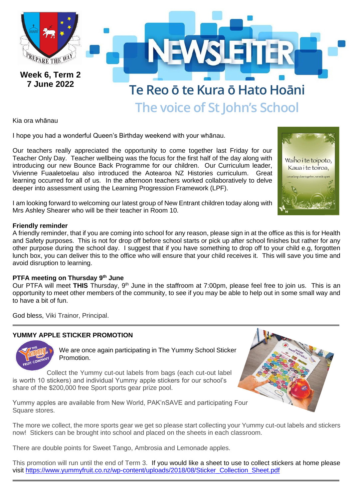

Kia ora whānau

I hope you had a wonderful Queen's Birthday weekend with your whānau.

Our teachers really appreciated the opportunity to come together last Friday for our Teacher Only Day. Teacher wellbeing was the focus for the first half of the day along with introducing our new Bounce Back Programme for our children. Our Curriculum leader, Vivienne Fuaaletoelau also introduced the Aotearoa NZ Histories curriculum. Great learning occurred for all of us. In the afternoon teachers worked collaboratively to delve deeper into assessment using the Learning Progression Framework (LPF).



### **Friendly reminder**

A friendly reminder, that if you are coming into school for any reason, please sign in at the office as this is for Health and Safety purposes. This is not for drop off before school starts or pick up after school finishes but rather for any other purpose during the school day. I suggest that if you have something to drop off to your child e.g, forgotten lunch box, you can deliver this to the office who will ensure that your child receives it. This will save you time and avoid disruption to learning.

### **PTFA meeting on Thursday 9th June**

Our PTFA will meet THIS Thursday, 9<sup>th</sup> June in the staffroom at 7:00pm, please feel free to join us. This is an opportunity to meet other members of the community, to see if you may be able to help out in some small way and to have a bit of fun.

God bless, Viki Trainor, Principal.

### **YUMMY APPLE STICKER PROMOTION**



We are once again participating in The Yummy School Sticker Promotion.

Collect the Yummy cut-out labels from bags (each cut-out label is worth 10 stickers) and individual Yummy apple stickers for our school's share of the \$200,000 free Sport sports gear prize pool.

Yummy apples are available from New World, PAK'nSAVE and participating Four Square stores.



The more we collect, the more sports gear we get so please start collecting your Yummy cut-out labels and stickers now! Stickers can be brought into school and placed on the sheets in each classroom.

There are double points for Sweet Tango, Ambrosia and Lemonade apples.

This promotion will run until the end of Term 3. If you would like a sheet to use to collect stickers at home please visit [https://www.yummyfruit.co.nz/wp-content/uploads/2018/08/Sticker\\_Collection\\_Sheet.pdf](https://www.yummyfruit.co.nz/wp-content/uploads/2018/08/Sticker_Collection_Sheet.pdf)

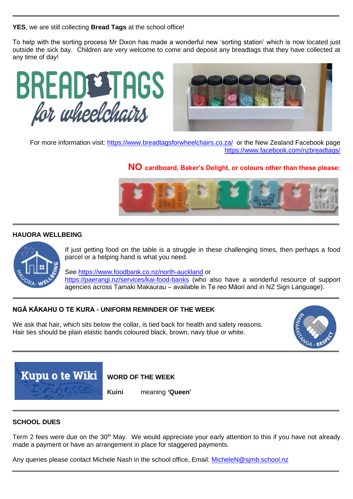**YES**, we are still collecting **Bread Tags** at the school office!

To help with the sorting process Mr Dixon has made a wonderful new 'sorting station' which is now located just outside the sick bay. Children are very welcome to come and deposit any breadtags that they have collected at any time of day!





For more information visit:<https://www.breadtagsforwheelchairs.co.za/>or the New Zealand Facebook page <https://www.facebook.com/nzbreadtags/>

# **NO cardboard, Baker's Delight, or colours other than these please:**



### **HAUORA WELLBEING**



If just getting food on the table is a struggle in these challenging times, then perhaps a food parcel or a helping hand is what you need.

See <https://www.foodbank.co.nz/north-auckland> or <https://paerangi.nz/services/kai-food-banks> (who also have a wonderful resource of support agencies across Tamaki Makaurau – available in Te reo Māori and in NZ Sign Language).

### **NGĀ KĀKAHU O TE KURA** *-* **UNIFORM REMINDER OF THE WEEK**

We ask that hair, which sits below the collar, is tied back for health and safety reasons. Hair ties should be plain elastic bands coloured black, brown, navy blue or white.





## **WORD OF THE WEEK**

**Kuini** meaning **'Queen'**

### **SCHOOL DUES**

Term 2 fees were due on the 30<sup>th</sup> May. We would appreciate your early attention to this if you have not already made a payment or have an arrangement in place for staggered payments.

Any queries please contact Michele Nash in the school office, Email: [MicheleN@sjmb.school.nz](mailto:MicheleN@sjmb.school.nz)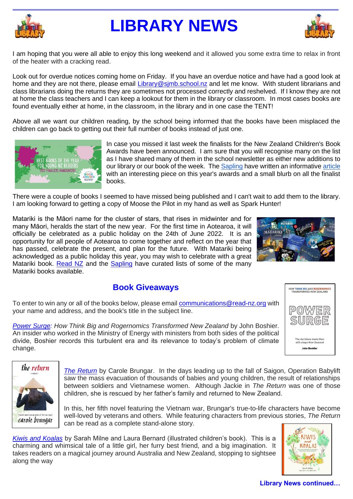

# **LIBRARY NEWS**



I am hoping that you were all able to enjoy this long weekend and it allowed you some extra time to relax in front of the heater with a cracking read.

Look out for overdue notices coming home on Friday. If you have an overdue notice and have had a good look at home and they are not there, please email Library@simb.school.nz and let me know. With student librarians and class librarians doing the returns they are sometimes not processed correctly and reshelved. If I know they are not at home the class teachers and I can keep a lookout for them in the library or classroom. In most cases books are found eventually either at home, in the classroom, in the library and in one case the TENT!

Above all we want our children reading, by the school being informed that the books have been misplaced the children can go back to getting out their full number of books instead of just one.



In case you missed it last week the finalists for the New Zealand Children's Book Awards have been announced. I am sure that you will recognise many on the list as I have shared many of them in the school newsletter as either new additions to our library or our book of the week. The [Sapling](https://www.thesapling.co.nz/single-post/the-finalists-of-the-2022-nz-kids-book-awards-are) have written an informativ[e article](https://www.thesapling.co.nz/single-post/the-finalists-of-the-2022-nz-kids-book-awards-are) with an interesting piece on this year's awards and a small blurb on all the finalist books.

There were a couple of books I seemed to have missed being published and I can't wait to add them to the library. I am looking forward to getting a copy of Moose the Pilot in my hand as well as Spark Hunter!

Matariki is the Māori name for the cluster of stars, that rises in midwinter and for many Māori, heralds the start of the new year. For the first time in Aotearoa, it will officially be celebrated as a public holiday on the 24th of June 2022. It is an opportunity for all people of Aotearoa to come together and reflect on the year that has passed, celebrate the present, and plan for the future. With Matariki being acknowledged as a public holiday this year, you may wish to celebrate with a great Matariki book. [Read NZ](https://www.read-nz.org/new-zealand-book-scene/nzbc-stories-details/celebrate-matariki-new-pukapuka-to-share-with-your-whnau?pageNum=2) and the [Sapling](https://www.thesapling.co.nz/single-post/2020/07/06/book-list-matariki-picture-books) have curated lists of some of the many Matariki books available.



**HOW THINK BIG AND ROGERNOMICS<br>TRANSFORMED NEW ZEALAND** 

The decisions made ther<br>still shape New Zealand **John Boshier** 

# **Book Giveaways**

To enter to win any or all of the books below, please emai[l communications@read-nz.org](mailto:communications@read-nz.org) with your name and address, and the book's title in the subject line.

*[Power Surge:](https://bookcouncil.us14.list-manage.com/track/click?u=79bcd3b2b3d527678e00f7b1f&id=a66941435b&e=70534fab37) How Think Big and Rogernomics Transformed New Zealand* by John Boshier. An insider who worked in the Ministry of Energy with ministers from both sides of the political divide, Boshier records this turbulent era and its relevance to today's problem of climate change.



*[The Return](https://bookcouncil.us14.list-manage.com/track/click?u=79bcd3b2b3d527678e00f7b1f&id=a4dd8ea073&e=70534fab37)* by Carole Brungar. In the days leading up to the fall of Saigon, Operation Babylift saw the mass evacuation of thousands of babies and young children, the result of relationships between soldiers and Vietnamese women. Although Jackie in *The Return* was one of those children, she is rescued by her father's family and returned to New Zealand.

In this, her fifth novel featuring the Vietnam war, Brungar's true-to-life characters have become well-loved by veterans and others. While featuring characters from previous stories, *The Return* can be read as a complete stand-alone story.

*[Kiwis and Koalas](https://bookcouncil.us14.list-manage.com/track/click?u=79bcd3b2b3d527678e00f7b1f&id=dbe056e682&e=70534fab37)* by Sarah Milne and Laura Bernard (illustrated children's book). This is a charming and whimsical tale of a little girl, her furry best friend, and a big imagination. It takes readers on a magical journey around Australia and New Zealand, stopping to sightsee along the way



### **Library News continued…**